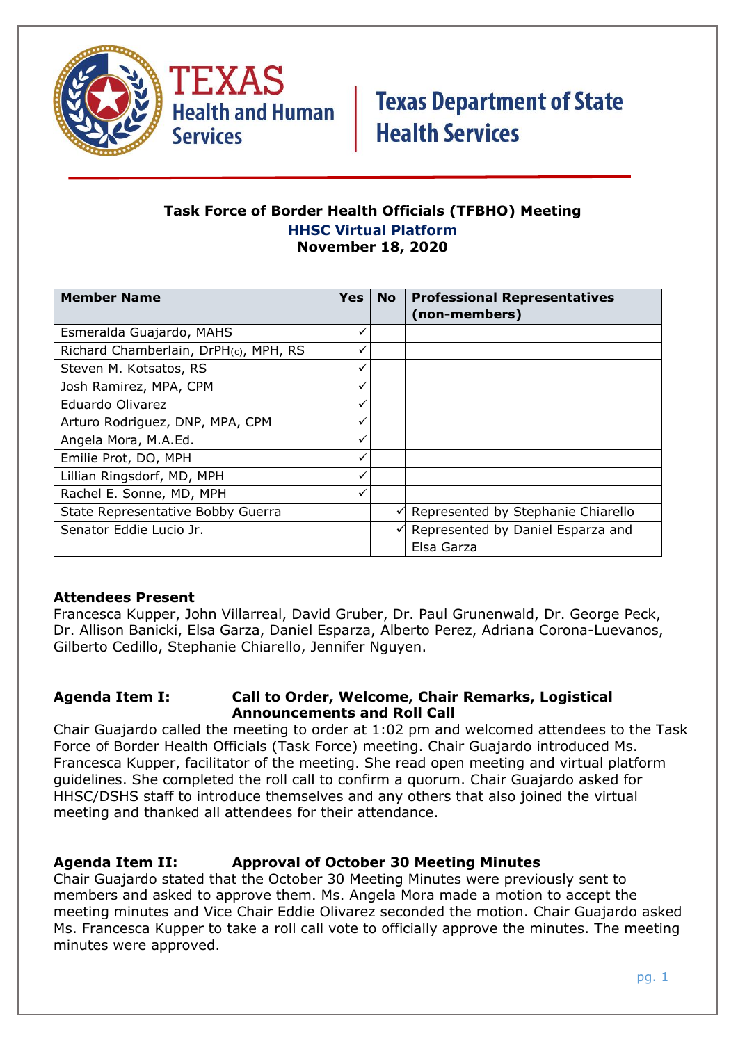

TEXAS **Health and Human Services** 

# **Texas Department of State Health Services**

#### **Task Force of Border Health Officials (TFBHO) Meeting HHSC Virtual Platform November 18, 2020**

| <b>Member Name</b>                    | <b>Yes</b>   | <b>No</b> | <b>Professional Representatives</b> |
|---------------------------------------|--------------|-----------|-------------------------------------|
|                                       |              |           | (non-members)                       |
| Esmeralda Guajardo, MAHS              | ✓            |           |                                     |
| Richard Chamberlain, DrPH(c), MPH, RS | ✓            |           |                                     |
| Steven M. Kotsatos, RS                | ✓            |           |                                     |
| Josh Ramirez, MPA, CPM                | ✓            |           |                                     |
| Eduardo Olivarez                      | ✓            |           |                                     |
| Arturo Rodriguez, DNP, MPA, CPM       | ✓            |           |                                     |
| Angela Mora, M.A.Ed.                  | $\checkmark$ |           |                                     |
| Emilie Prot, DO, MPH                  | ✓            |           |                                     |
| Lillian Ringsdorf, MD, MPH            | ✓            |           |                                     |
| Rachel E. Sonne, MD, MPH              | ✓            |           |                                     |
| State Representative Bobby Guerra     |              | ✓         | Represented by Stephanie Chiarello  |
| Senator Eddie Lucio Jr.               |              |           | Represented by Daniel Esparza and   |
|                                       |              |           | Elsa Garza                          |

### **Attendees Present**

Francesca Kupper, John Villarreal, David Gruber, Dr. Paul Grunenwald, Dr. George Peck, Dr. Allison Banicki, Elsa Garza, Daniel Esparza, Alberto Perez, Adriana Corona-Luevanos, Gilberto Cedillo, Stephanie Chiarello, Jennifer Nguyen.

#### **Agenda Item I: Call to Order, Welcome, Chair Remarks, Logistical Announcements and Roll Call**

Chair Guajardo called the meeting to order at 1:02 pm and welcomed attendees to the Task Force of Border Health Officials (Task Force) meeting. Chair Guajardo introduced Ms. Francesca Kupper, facilitator of the meeting. She read open meeting and virtual platform guidelines. She completed the roll call to confirm a quorum. Chair Guajardo asked for HHSC/DSHS staff to introduce themselves and any others that also joined the virtual meeting and thanked all attendees for their attendance.

### **Agenda Item II: Approval of October 30 Meeting Minutes**

Chair Guajardo stated that the October 30 Meeting Minutes were previously sent to members and asked to approve them. Ms. Angela Mora made a motion to accept the meeting minutes and Vice Chair Eddie Olivarez seconded the motion. Chair Guajardo asked Ms. Francesca Kupper to take a roll call vote to officially approve the minutes. The meeting minutes were approved.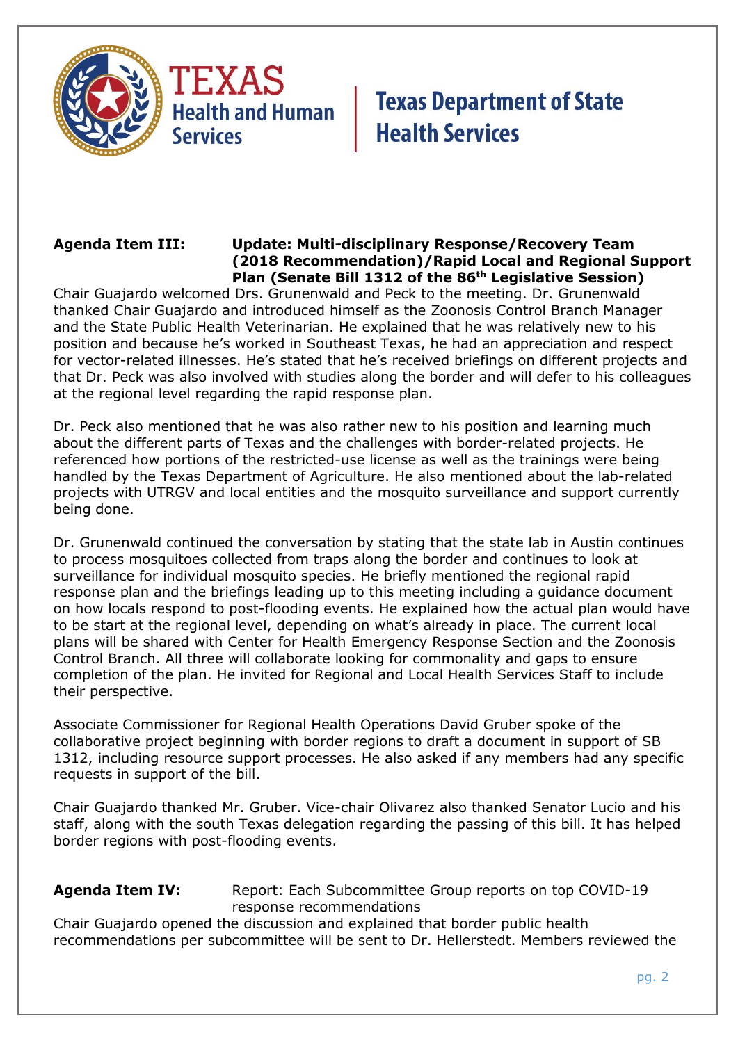

**Health and Human Services** 

## **Texas Department of State Health Services**

#### **Agenda Item III: Update: Multi-disciplinary Response/Recovery Team (2018 Recommendation)/Rapid Local and Regional Support Plan (Senate Bill 1312 of the 86th Legislative Session)**

Chair Guajardo welcomed Drs. Grunenwald and Peck to the meeting. Dr. Grunenwald thanked Chair Guajardo and introduced himself as the Zoonosis Control Branch Manager and the State Public Health Veterinarian. He explained that he was relatively new to his position and because he's worked in Southeast Texas, he had an appreciation and respect for vector-related illnesses. He's stated that he's received briefings on different projects and that Dr. Peck was also involved with studies along the border and will defer to his colleagues at the regional level regarding the rapid response plan.

Dr. Peck also mentioned that he was also rather new to his position and learning much about the different parts of Texas and the challenges with border-related projects. He referenced how portions of the restricted-use license as well as the trainings were being handled by the Texas Department of Agriculture. He also mentioned about the lab-related projects with UTRGV and local entities and the mosquito surveillance and support currently being done.

Dr. Grunenwald continued the conversation by stating that the state lab in Austin continues to process mosquitoes collected from traps along the border and continues to look at surveillance for individual mosquito species. He briefly mentioned the regional rapid response plan and the briefings leading up to this meeting including a guidance document on how locals respond to post-flooding events. He explained how the actual plan would have to be start at the regional level, depending on what's already in place. The current local plans will be shared with Center for Health Emergency Response Section and the Zoonosis Control Branch. All three will collaborate looking for commonality and gaps to ensure completion of the plan. He invited for Regional and Local Health Services Staff to include their perspective.

Associate Commissioner for Regional Health Operations David Gruber spoke of the collaborative project beginning with border regions to draft a document in support of SB 1312, including resource support processes. He also asked if any members had any specific requests in support of the bill.

Chair Guajardo thanked Mr. Gruber. Vice-chair Olivarez also thanked Senator Lucio and his staff, along with the south Texas delegation regarding the passing of this bill. It has helped border regions with post-flooding events.

#### **Agenda Item IV:** Report: Each Subcommittee Group reports on top COVID-19 response recommendations

Chair Guajardo opened the discussion and explained that border public health recommendations per subcommittee will be sent to Dr. Hellerstedt. Members reviewed the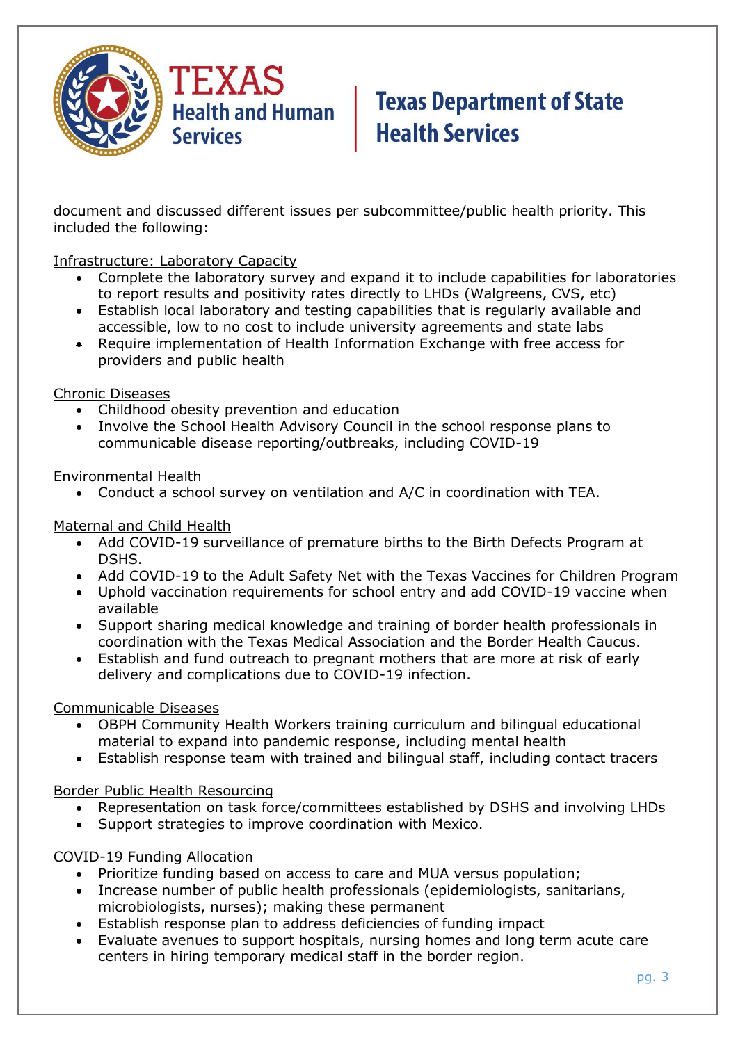

# **Texas Department of State Health Services**

document and discussed different issues per subcommittee/public health priority. This included the following:

#### Infrastructure: Laboratory Capacity

- Complete the laboratory survey and expand it to include capabilities for laboratories to report results and positivity rates directly to LHDs (Walgreens, CVS, etc)
- Establish local laboratory and testing capabilities that is regularly available and accessible, low to no cost to include university agreements and state labs
- Require implementation of Health Information Exchange with free access for providers and public health

#### Chronic Diseases

- Childhood obesity prevention and education
- Involve the School Health Advisory Council in the school response plans to communicable disease reporting/outbreaks, including COVID-19

#### Environmental Health

• Conduct a school survey on ventilation and A/C in coordination with TEA.

#### Maternal and Child Health

- Add COVID-19 surveillance of premature births to the Birth Defects Program at DSHS.
- Add COVID-19 to the Adult Safety Net with the Texas Vaccines for Children Program
- Uphold vaccination requirements for school entry and add COVID-19 vaccine when available
- Support sharing medical knowledge and training of border health professionals in coordination with the Texas Medical Association and the Border Health Caucus.
- Establish and fund outreach to pregnant mothers that are more at risk of early delivery and complications due to COVID-19 infection.

### Communicable Diseases

- OBPH Community Health Workers training curriculum and bilingual educational material to expand into pandemic response, including mental health
- Establish response team with trained and bilingual staff, including contact tracers

### Border Public Health Resourcing

- Representation on task force/committees established by DSHS and involving LHDs
- Support strategies to improve coordination with Mexico.

### COVID-19 Funding Allocation

- Prioritize funding based on access to care and MUA versus population;
- Increase number of public health professionals (epidemiologists, sanitarians, microbiologists, nurses); making these permanent
- Establish response plan to address deficiencies of funding impact
- Evaluate avenues to support hospitals, nursing homes and long term acute care centers in hiring temporary medical staff in the border region.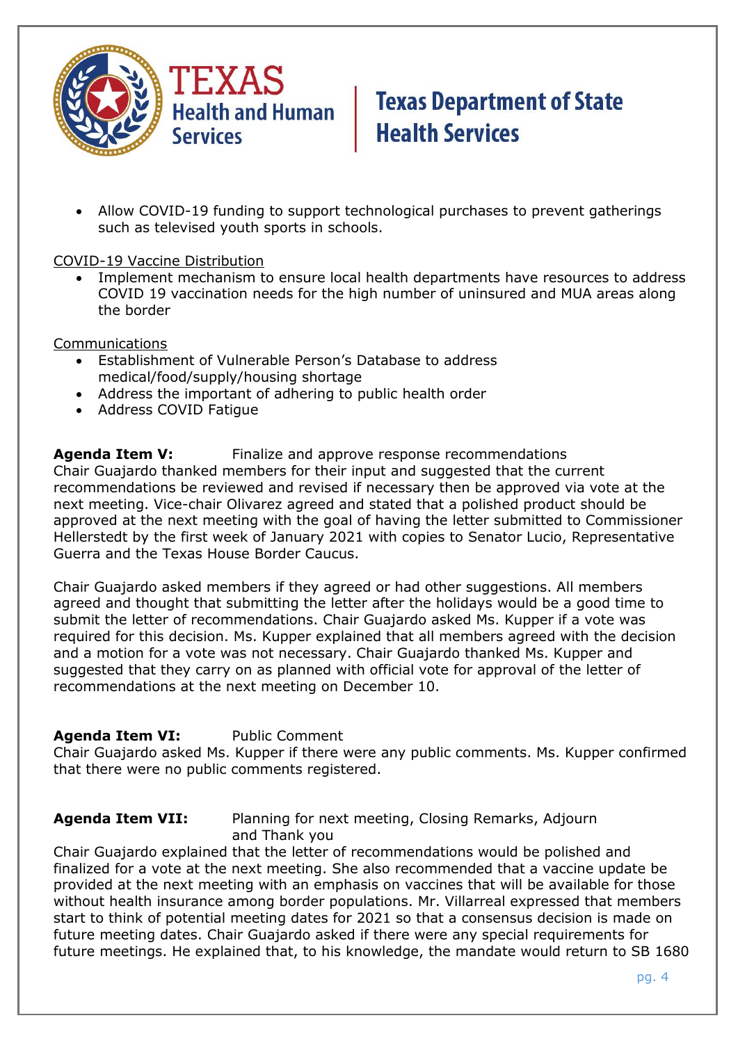

# **Texas Department of State Health Services**

• Allow COVID-19 funding to support technological purchases to prevent gatherings such as televised youth sports in schools.

#### COVID-19 Vaccine Distribution

• Implement mechanism to ensure local health departments have resources to address COVID 19 vaccination needs for the high number of uninsured and MUA areas along the border

#### Communications

- Establishment of Vulnerable Person's Database to address medical/food/supply/housing shortage
- Address the important of adhering to public health order
- Address COVID Fatigue

**Agenda Item V:** Finalize and approve response recommendations Chair Guajardo thanked members for their input and suggested that the current recommendations be reviewed and revised if necessary then be approved via vote at the next meeting. Vice-chair Olivarez agreed and stated that a polished product should be approved at the next meeting with the goal of having the letter submitted to Commissioner Hellerstedt by the first week of January 2021 with copies to Senator Lucio, Representative Guerra and the Texas House Border Caucus.

Chair Guajardo asked members if they agreed or had other suggestions. All members agreed and thought that submitting the letter after the holidays would be a good time to submit the letter of recommendations. Chair Guajardo asked Ms. Kupper if a vote was required for this decision. Ms. Kupper explained that all members agreed with the decision and a motion for a vote was not necessary. Chair Guajardo thanked Ms. Kupper and suggested that they carry on as planned with official vote for approval of the letter of recommendations at the next meeting on December 10.

### **Agenda Item VI:** Public Comment

Chair Guajardo asked Ms. Kupper if there were any public comments. Ms. Kupper confirmed that there were no public comments registered.

**Agenda Item VII:** Planning for next meeting, Closing Remarks, Adjourn and Thank you

Chair Guajardo explained that the letter of recommendations would be polished and finalized for a vote at the next meeting. She also recommended that a vaccine update be provided at the next meeting with an emphasis on vaccines that will be available for those without health insurance among border populations. Mr. Villarreal expressed that members start to think of potential meeting dates for 2021 so that a consensus decision is made on future meeting dates. Chair Guajardo asked if there were any special requirements for future meetings. He explained that, to his knowledge, the mandate would return to SB 1680